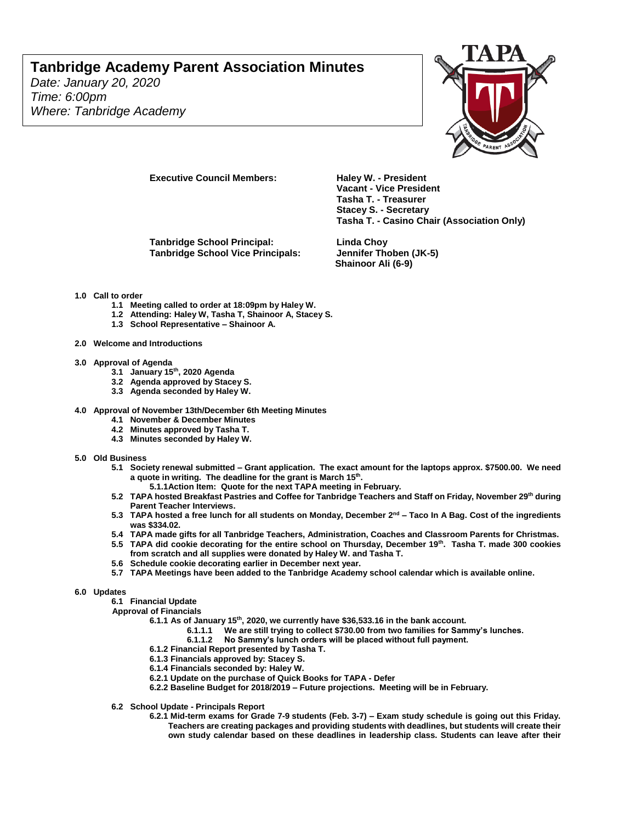## **Tanbridge Academy Parent Association Minutes**

*Date: January 20, 2020 Time: 6:00pm Where: Tanbridge Academy*



**Executive Council Members: Haley W. - President** 

**Tanbridge School Principal: Linda Choy Tanbridge School Vice Principals: Jennifer Thoben (JK-5)**

**Vacant - Vice President Tasha T. - Treasurer Stacey S. - Secretary Tasha T. - Casino Chair (Association Only)**

**Shainoor Ali (6-9)**

- **1.0 Call to order**
	- **1.1 Meeting called to order at 18:09pm by Haley W.**
	- **1.2 Attending: Haley W, Tasha T, Shainoor A, Stacey S.**
	- **1.3 School Representative – Shainoor A.**
- **2.0 Welcome and Introductions**
- **3.0 Approval of Agenda** 
	- **3.1 January 15th, 2020 Agenda**
	- **3.2 Agenda approved by Stacey S.**
	- **3.3 Agenda seconded by Haley W.**
- **4.0 Approval of November 13th/December 6th Meeting Minutes**
	- **4.1 November & December Minutes**
	- **4.2 Minutes approved by Tasha T.**
	- **4.3 Minutes seconded by Haley W.**
- **5.0 Old Business** 
	- **5.1 Society renewal submitted – Grant application. The exact amount for the laptops approx. \$7500.00. We need a quote in writing. The deadline for the grant is March 15th .** 
		- **5.1.1Action Item: Quote for the next TAPA meeting in February.**
	- **5.2 TAPA hosted Breakfast Pastries and Coffee for Tanbridge Teachers and Staff on Friday, November 29th during Parent Teacher Interviews.**
	- **5.3 TAPA hosted a free lunch for all students on Monday, December 2nd – Taco In A Bag. Cost of the ingredients was \$334.02.**
	- **5.4 TAPA made gifts for all Tanbridge Teachers, Administration, Coaches and Classroom Parents for Christmas.**
	- **5.5 TAPA did cookie decorating for the entire school on Thursday, December 19th. Tasha T. made 300 cookies from scratch and all supplies were donated by Haley W. and Tasha T.**
	- **5.6 Schedule cookie decorating earlier in December next year.**
	- **5.7 TAPA Meetings have been added to the Tanbridge Academy school calendar which is available online.**
- **6.0 Updates**

**6.1 Financial Update**

- **Approval of Financials**
	- **6.1.1 As of January 15th, 2020, we currently have \$36,533.16 in the bank account.** 
		- **6.1.1.1 We are still trying to collect \$730.00 from two families for Sammy's lunches.**
			- **6.1.1.2 No Sammy's lunch orders will be placed without full payment.**
	- **6.1.2 Financial Report presented by Tasha T.**
	- **6.1.3 Financials approved by: Stacey S.**
	- **6.1.4 Financials seconded by: Haley W.**
	- **6.2.1 Update on the purchase of Quick Books for TAPA - Defer**
	- **6.2.2 Baseline Budget for 2018/2019 – Future projections. Meeting will be in February.**
- **6.2 School Update - Principals Report**
	- **6.2.1 Mid-term exams for Grade 7-9 students (Feb. 3-7) – Exam study schedule is going out this Friday. Teachers are creating packages and providing students with deadlines, but students will create their own study calendar based on these deadlines in leadership class. Students can leave after their**